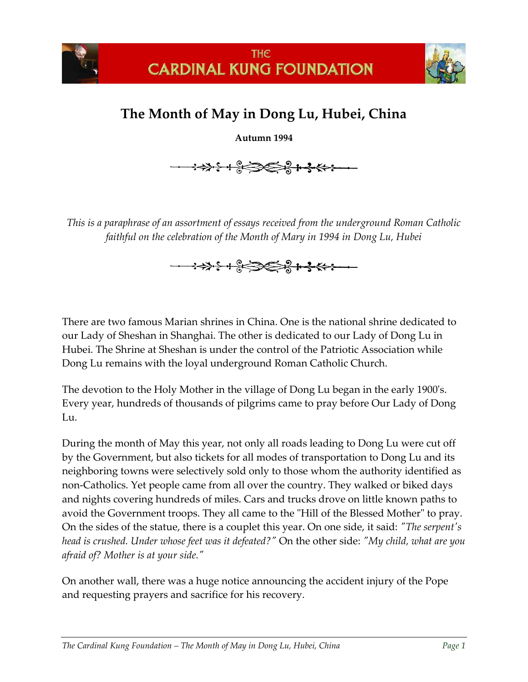

## **The Month of May in Dong Lu, Hubei, China**

**Autumn 1994**

**←→→→→←+ º→→→→+→←** 

*This is a paraphrase of an assortment of essays received from the underground Roman Catholic faithful on the celebration of the Month of Mary in 1994 in Dong Lu, Hubei*



There are two famous Marian shrines in China. One is the national shrine dedicated to our Lady of Sheshan in Shanghai. The other is dedicated to our Lady of Dong Lu in Hubei. The Shrine at Sheshan is under the control of the Patriotic Association while Dong Lu remains with the loyal underground Roman Catholic Church.

The devotion to the Holy Mother in the village of Dong Lu began in the early 1900's. Every year, hundreds of thousands of pilgrims came to pray before Our Lady of Dong Lu.

During the month of May this year, not only all roads leading to Dong Lu were cut off by the Government, but also tickets for all modes of transportation to Dong Lu and its neighboring towns were selectively sold only to those whom the authority identified as non-Catholics. Yet people came from all over the country. They walked or biked days and nights covering hundreds of miles. Cars and trucks drove on little known paths to avoid the Government troops. They all came to the "Hill of the Blessed Mother" to pray. On the sides of the statue, there is a couplet this year. On one side, it said: *"The serpent's head is crushed. Under whose feet was it defeated?"* On the other side: *"My child, what are you afraid of? Mother is at your side."*

On another wall, there was a huge notice announcing the accident injury of the Pope and requesting prayers and sacrifice for his recovery.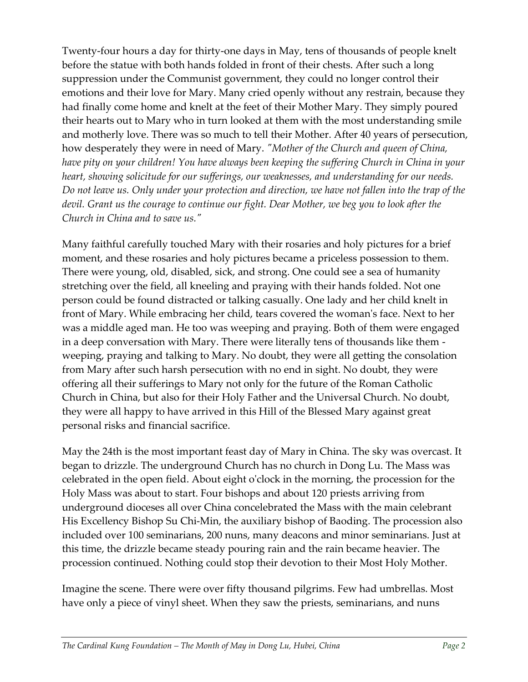Twenty-four hours a day for thirty-one days in May, tens of thousands of people knelt before the statue with both hands folded in front of their chests. After such a long suppression under the Communist government, they could no longer control their emotions and their love for Mary. Many cried openly without any restrain, because they had finally come home and knelt at the feet of their Mother Mary. They simply poured their hearts out to Mary who in turn looked at them with the most understanding smile and motherly love. There was so much to tell their Mother. After 40 years of persecution, how desperately they were in need of Mary. *"Mother of the Church and queen of China, have pity on your children! You have always been keeping the suffering Church in China in your heart, showing solicitude for our sufferings, our weaknesses, and understanding for our needs. Do not leave us. Only under your protection and direction, we have not fallen into the trap of the devil. Grant us the courage to continue our fight. Dear Mother, we beg you to look after the Church in China and to save us."*

Many faithful carefully touched Mary with their rosaries and holy pictures for a brief moment, and these rosaries and holy pictures became a priceless possession to them. There were young, old, disabled, sick, and strong. One could see a sea of humanity stretching over the field, all kneeling and praying with their hands folded. Not one person could be found distracted or talking casually. One lady and her child knelt in front of Mary. While embracing her child, tears covered the woman's face. Next to her was a middle aged man. He too was weeping and praying. Both of them were engaged in a deep conversation with Mary. There were literally tens of thousands like them weeping, praying and talking to Mary. No doubt, they were all getting the consolation from Mary after such harsh persecution with no end in sight. No doubt, they were offering all their sufferings to Mary not only for the future of the Roman Catholic Church in China, but also for their Holy Father and the Universal Church. No doubt, they were all happy to have arrived in this Hill of the Blessed Mary against great personal risks and financial sacrifice.

May the 24th is the most important feast day of Mary in China. The sky was overcast. It began to drizzle. The underground Church has no church in Dong Lu. The Mass was celebrated in the open field. About eight o'clock in the morning, the procession for the Holy Mass was about to start. Four bishops and about 120 priests arriving from underground dioceses all over China concelebrated the Mass with the main celebrant His Excellency Bishop Su Chi-Min, the auxiliary bishop of Baoding. The procession also included over 100 seminarians, 200 nuns, many deacons and minor seminarians. Just at this time, the drizzle became steady pouring rain and the rain became heavier. The procession continued. Nothing could stop their devotion to their Most Holy Mother.

Imagine the scene. There were over fifty thousand pilgrims. Few had umbrellas. Most have only a piece of vinyl sheet. When they saw the priests, seminarians, and nuns